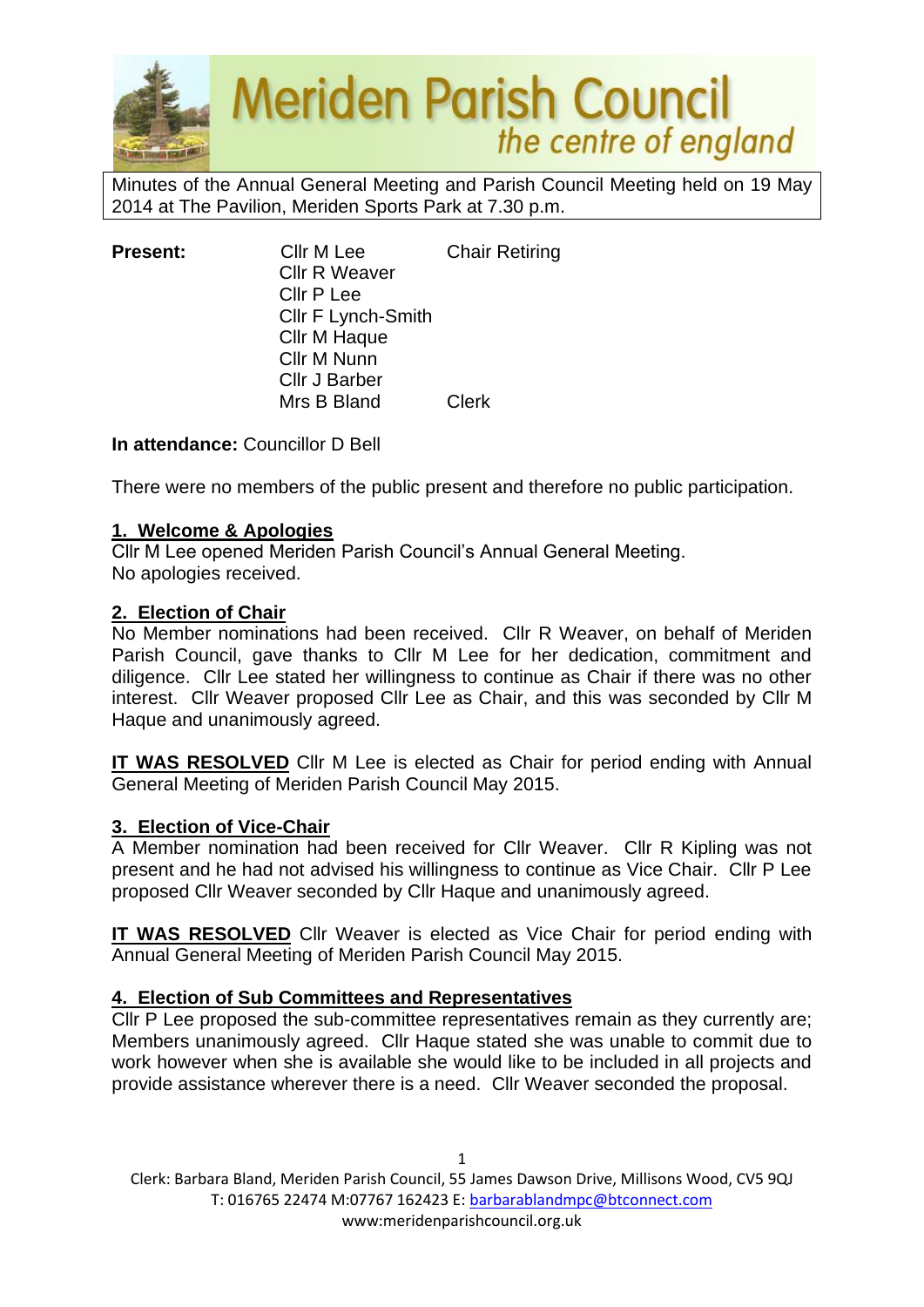

Minutes of the Annual General Meeting and Parish Council Meeting held on 19 May 2014 at The Pavilion, Meriden Sports Park at 7.30 p.m.

| <b>Present:</b> | Cllr M Lee                | <b>Chair Retiring</b> |
|-----------------|---------------------------|-----------------------|
|                 | <b>Cllr R Weaver</b>      |                       |
|                 | Cllr P Lee                |                       |
|                 | <b>CIIr F Lynch-Smith</b> |                       |
|                 | Cllr M Haque              |                       |
|                 | Cllr M Nunn               |                       |
|                 | <b>Cllr J Barber</b>      |                       |
|                 | Mrs B Bland               | Clerk                 |

**In attendance:** Councillor D Bell

There were no members of the public present and therefore no public participation.

### **1. Welcome & Apologies**

Cllr M Lee opened Meriden Parish Council's Annual General Meeting. No apologies received.

# **2. Election of Chair**

No Member nominations had been received. Cllr R Weaver, on behalf of Meriden Parish Council, gave thanks to Cllr M Lee for her dedication, commitment and diligence. Cllr Lee stated her willingness to continue as Chair if there was no other interest. Cllr Weaver proposed Cllr Lee as Chair, and this was seconded by Cllr M Haque and unanimously agreed.

**IT WAS RESOLVED** Cllr M Lee is elected as Chair for period ending with Annual General Meeting of Meriden Parish Council May 2015.

### **3. Election of Vice-Chair**

A Member nomination had been received for Cllr Weaver. Cllr R Kipling was not present and he had not advised his willingness to continue as Vice Chair. Cllr P Lee proposed Cllr Weaver seconded by Cllr Haque and unanimously agreed.

**IT WAS RESOLVED** Cllr Weaver is elected as Vice Chair for period ending with Annual General Meeting of Meriden Parish Council May 2015.

### **4. Election of Sub Committees and Representatives**

Cllr P Lee proposed the sub-committee representatives remain as they currently are; Members unanimously agreed. Cllr Haque stated she was unable to commit due to work however when she is available she would like to be included in all projects and provide assistance wherever there is a need. Cllr Weaver seconded the proposal.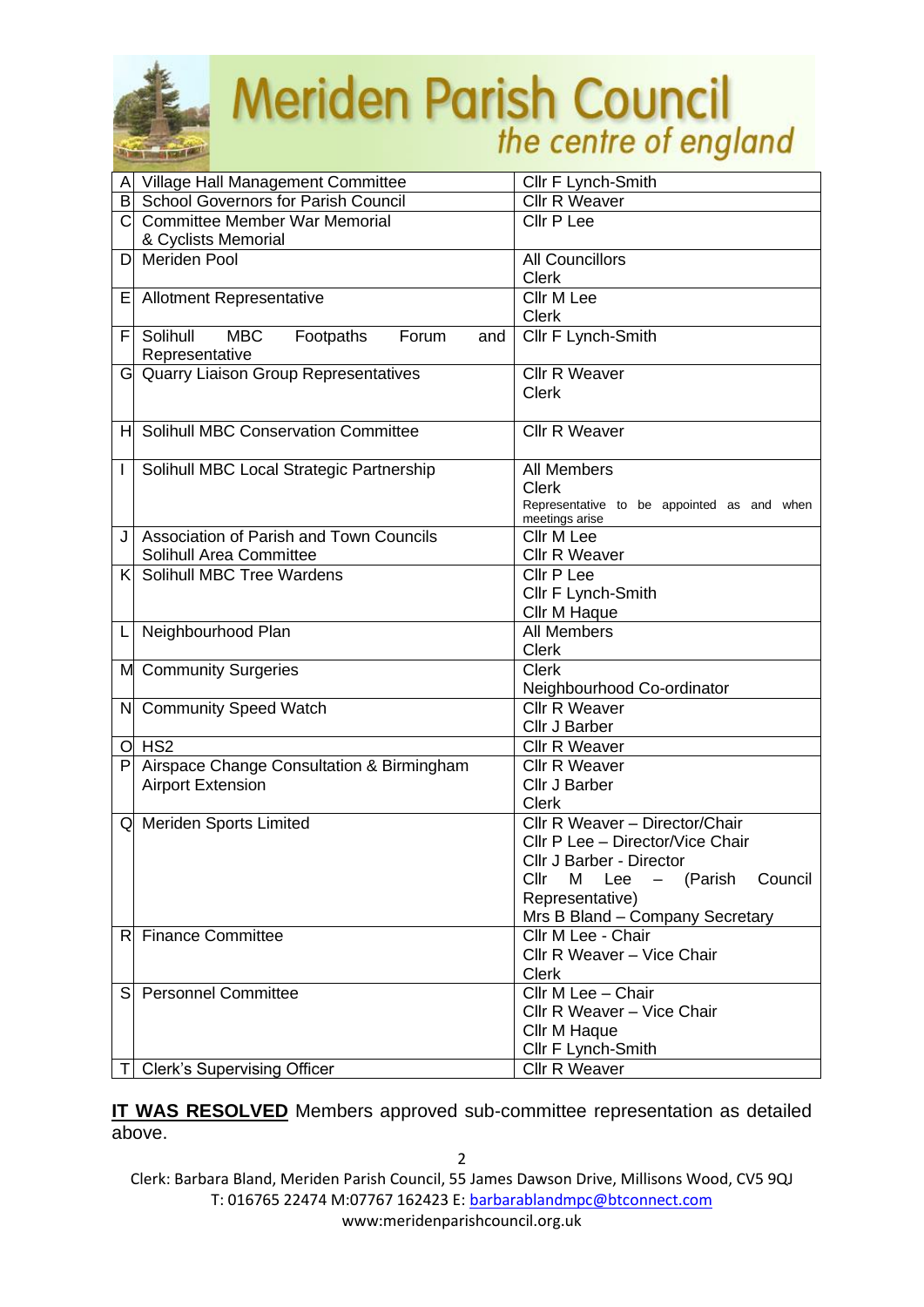

# Meriden Parish Council

|    | A Village Hall Management Committee                 | Cllr F Lynch-Smith                                           |  |
|----|-----------------------------------------------------|--------------------------------------------------------------|--|
|    | B School Governors for Parish Council               | Cllr R Weaver                                                |  |
|    | C Committee Member War Memorial                     | Cllr P Lee                                                   |  |
|    | & Cyclists Memorial                                 |                                                              |  |
| D  | <b>Meriden Pool</b>                                 | <b>All Councillors</b>                                       |  |
|    |                                                     | <b>Clerk</b>                                                 |  |
| Е  | <b>Allotment Representative</b>                     | Cllr M Lee                                                   |  |
|    |                                                     | Clerk                                                        |  |
| F. | Solihull<br><b>MBC</b><br>Footpaths<br>Forum<br>and | Cllr F Lynch-Smith                                           |  |
|    | Representative                                      |                                                              |  |
|    | G Quarry Liaison Group Representatives              | Cllr R Weaver                                                |  |
|    |                                                     | <b>Clerk</b>                                                 |  |
|    |                                                     |                                                              |  |
|    | <b>Solihull MBC Conservation Committee</b>          | <b>Cllr R Weaver</b>                                         |  |
| H  |                                                     |                                                              |  |
|    |                                                     |                                                              |  |
| L  | Solihull MBC Local Strategic Partnership            | All Members                                                  |  |
|    |                                                     | <b>Clerk</b>                                                 |  |
|    |                                                     | Representative to be appointed as and when<br>meetings arise |  |
| J  | Association of Parish and Town Councils             | Cllr M Lee                                                   |  |
|    | Solihull Area Committee                             | <b>Cllr R Weaver</b>                                         |  |
|    | K Solihull MBC Tree Wardens                         | Cllr P Lee                                                   |  |
|    |                                                     | Cllr F Lynch-Smith                                           |  |
|    |                                                     | Cllr M Haque                                                 |  |
| L  | Neighbourhood Plan                                  | <b>All Members</b>                                           |  |
|    |                                                     | <b>Clerk</b>                                                 |  |
|    | M Community Surgeries                               | <b>Clerk</b>                                                 |  |
|    |                                                     | Neighbourhood Co-ordinator                                   |  |
|    | N Community Speed Watch                             | <b>Cllr R Weaver</b>                                         |  |
|    |                                                     |                                                              |  |
|    |                                                     | Cllr J Barber                                                |  |
|    | $O$ HS <sub>2</sub>                                 | <b>Cllr R Weaver</b>                                         |  |
| P  | Airspace Change Consultation & Birmingham           | <b>Cllr R Weaver</b>                                         |  |
|    | <b>Airport Extension</b>                            | Cllr J Barber                                                |  |
|    |                                                     | <b>Clerk</b>                                                 |  |
|    | Q Meriden Sports Limited                            | Cllr R Weaver - Director/Chair                               |  |
|    |                                                     | Cllr P Lee - Director/Vice Chair                             |  |
|    |                                                     | Cllr J Barber - Director                                     |  |
|    |                                                     | Cllr<br>Council<br>Lee<br>(Parish<br>М<br>$\qquad \qquad -$  |  |
|    |                                                     | Representative)                                              |  |
|    |                                                     | Mrs B Bland - Company Secretary                              |  |
|    | R Finance Committee                                 | Cllr M Lee - Chair                                           |  |
|    |                                                     | Cllr R Weaver - Vice Chair                                   |  |
|    |                                                     | <b>Clerk</b>                                                 |  |
|    | S Personnel Committee                               | Cllr M Lee - Chair                                           |  |
|    |                                                     | Cllr R Weaver - Vice Chair                                   |  |
|    |                                                     | Cllr M Haque                                                 |  |
|    |                                                     | Cllr F Lynch-Smith                                           |  |
| ΤI | <b>Clerk's Supervising Officer</b>                  | Cllr R Weaver                                                |  |

**IT WAS RESOLVED** Members approved sub-committee representation as detailed above.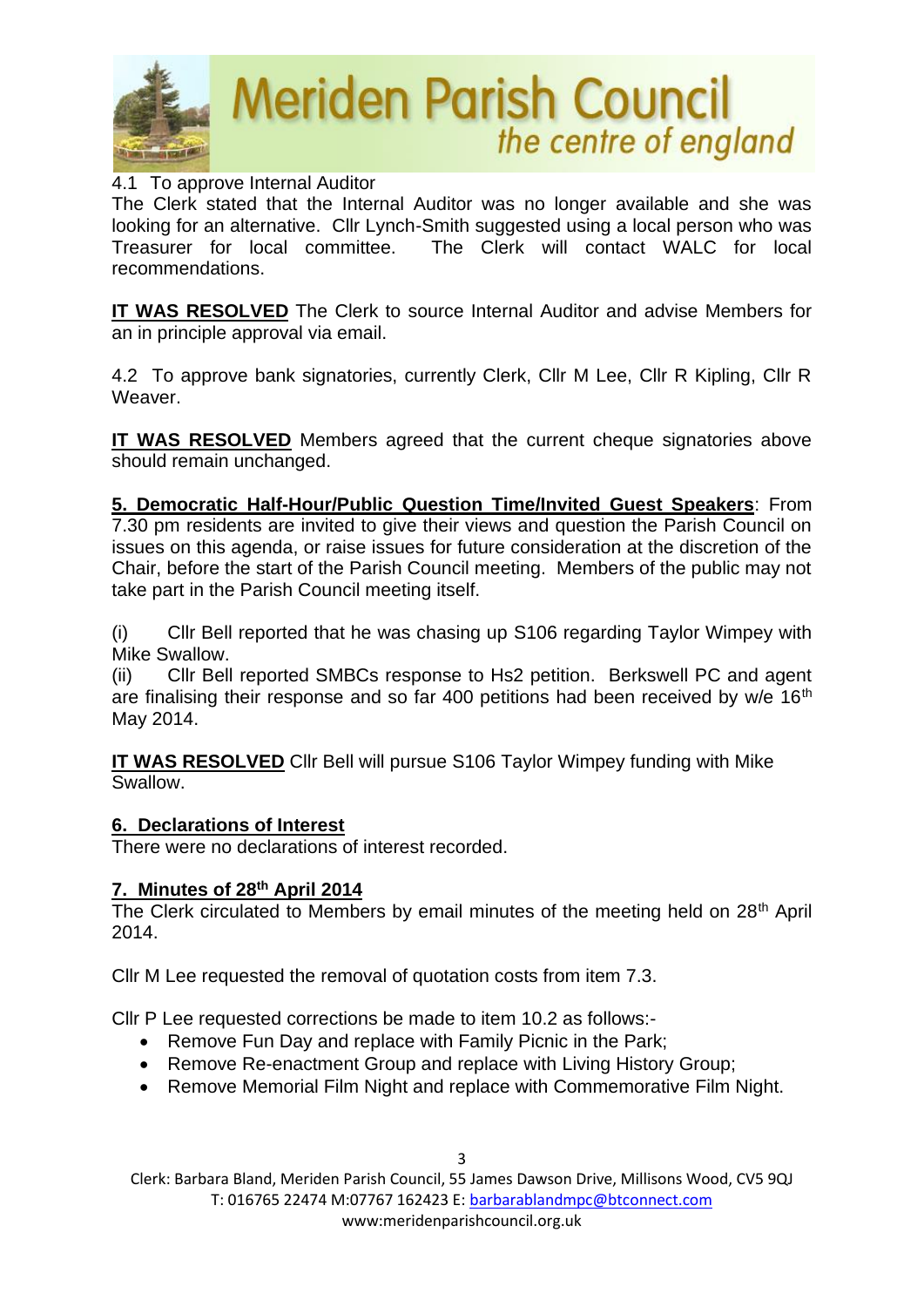

### 4.1 To approve Internal Auditor

The Clerk stated that the Internal Auditor was no longer available and she was looking for an alternative. Cllr Lynch-Smith suggested using a local person who was Treasurer for local committee. The Clerk will contact WALC for local recommendations.

**IT WAS RESOLVED** The Clerk to source Internal Auditor and advise Members for an in principle approval via email.

4.2 To approve bank signatories, currently Clerk, Cllr M Lee, Cllr R Kipling, Cllr R Weaver.

**IT WAS RESOLVED** Members agreed that the current cheque signatories above should remain unchanged.

**5. Democratic Half-Hour/Public Question Time/Invited Guest Speakers**: From 7.30 pm residents are invited to give their views and question the Parish Council on issues on this agenda, or raise issues for future consideration at the discretion of the Chair, before the start of the Parish Council meeting. Members of the public may not take part in the Parish Council meeting itself.

(i) Cllr Bell reported that he was chasing up S106 regarding Taylor Wimpey with Mike Swallow.

(ii) Cllr Bell reported SMBCs response to Hs2 petition. Berkswell PC and agent are finalising their response and so far 400 petitions had been received by  $w/e$  16<sup>th</sup> May 2014.

**IT WAS RESOLVED** Cllr Bell will pursue S106 Taylor Wimpey funding with Mike Swallow.

### **6. Declarations of Interest**

There were no declarations of interest recorded.

### **7. Minutes of 28th April 2014**

The Clerk circulated to Members by email minutes of the meeting held on 28<sup>th</sup> April 2014.

Cllr M Lee requested the removal of quotation costs from item 7.3.

Cllr P Lee requested corrections be made to item 10.2 as follows:-

- Remove Fun Day and replace with Family Picnic in the Park;
- Remove Re-enactment Group and replace with Living History Group;
- Remove Memorial Film Night and replace with Commemorative Film Night.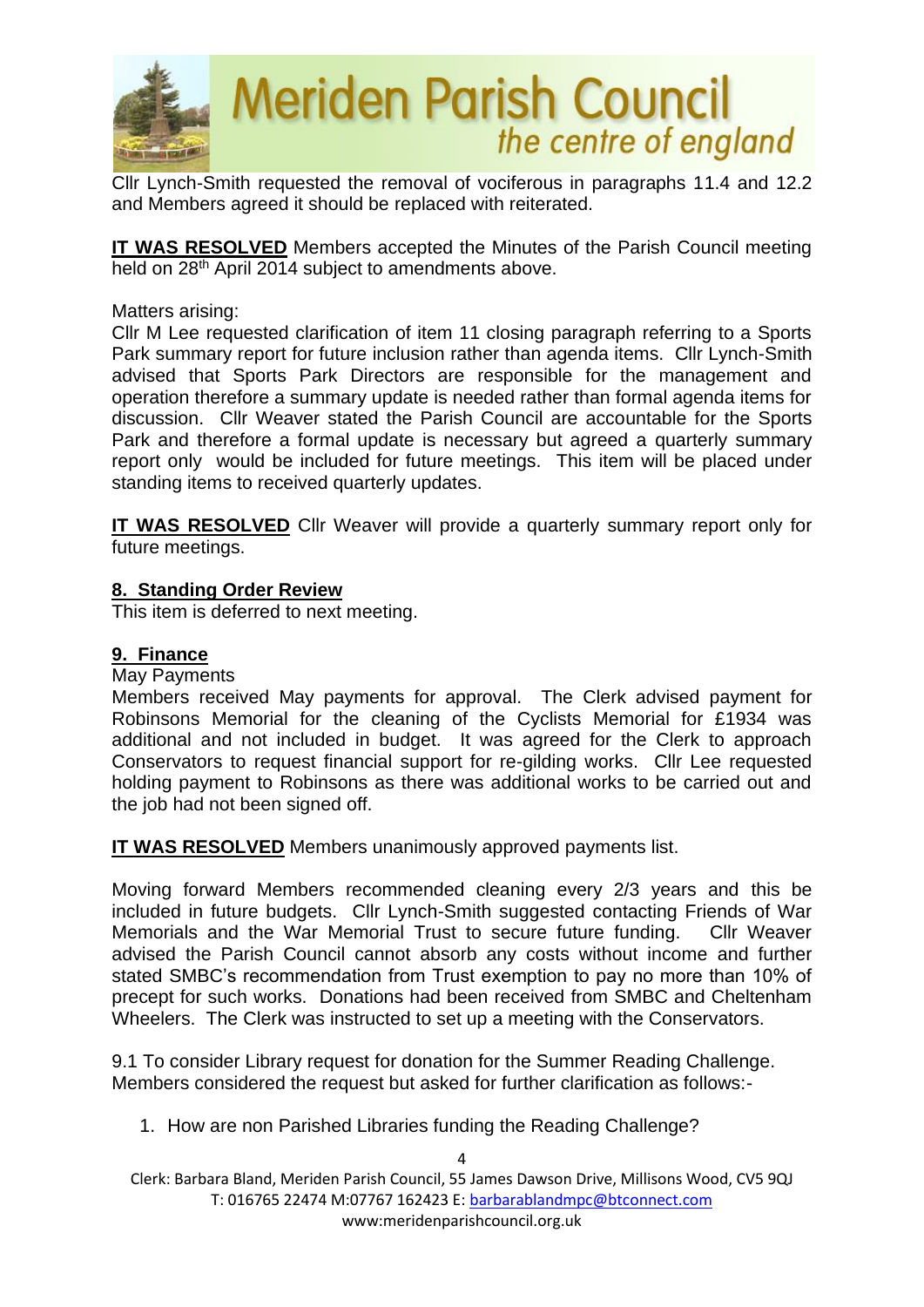

Cllr Lynch-Smith requested the removal of vociferous in paragraphs 11.4 and 12.2 and Members agreed it should be replaced with reiterated.

**IT WAS RESOLVED** Members accepted the Minutes of the Parish Council meeting held on 28<sup>th</sup> April 2014 subject to amendments above.

### Matters arising:

Cllr M Lee requested clarification of item 11 closing paragraph referring to a Sports Park summary report for future inclusion rather than agenda items. Cllr Lynch-Smith advised that Sports Park Directors are responsible for the management and operation therefore a summary update is needed rather than formal agenda items for discussion. Cllr Weaver stated the Parish Council are accountable for the Sports Park and therefore a formal update is necessary but agreed a quarterly summary report only would be included for future meetings. This item will be placed under standing items to received quarterly updates.

**IT WAS RESOLVED** Cllr Weaver will provide a quarterly summary report only for future meetings.

### **8. Standing Order Review**

This item is deferred to next meeting.

### **9. Finance**

#### May Payments

Members received May payments for approval. The Clerk advised payment for Robinsons Memorial for the cleaning of the Cyclists Memorial for £1934 was additional and not included in budget. It was agreed for the Clerk to approach Conservators to request financial support for re-gilding works. Cllr Lee requested holding payment to Robinsons as there was additional works to be carried out and the job had not been signed off.

**IT WAS RESOLVED** Members unanimously approved payments list.

Moving forward Members recommended cleaning every 2/3 years and this be included in future budgets. Cllr Lynch-Smith suggested contacting Friends of War Memorials and the War Memorial Trust to secure future funding. Cllr Weaver advised the Parish Council cannot absorb any costs without income and further stated SMBC's recommendation from Trust exemption to pay no more than 10% of precept for such works. Donations had been received from SMBC and Cheltenham Wheelers. The Clerk was instructed to set up a meeting with the Conservators.

9.1 To consider Library request for donation for the Summer Reading Challenge. Members considered the request but asked for further clarification as follows:-

1. How are non Parished Libraries funding the Reading Challenge?

4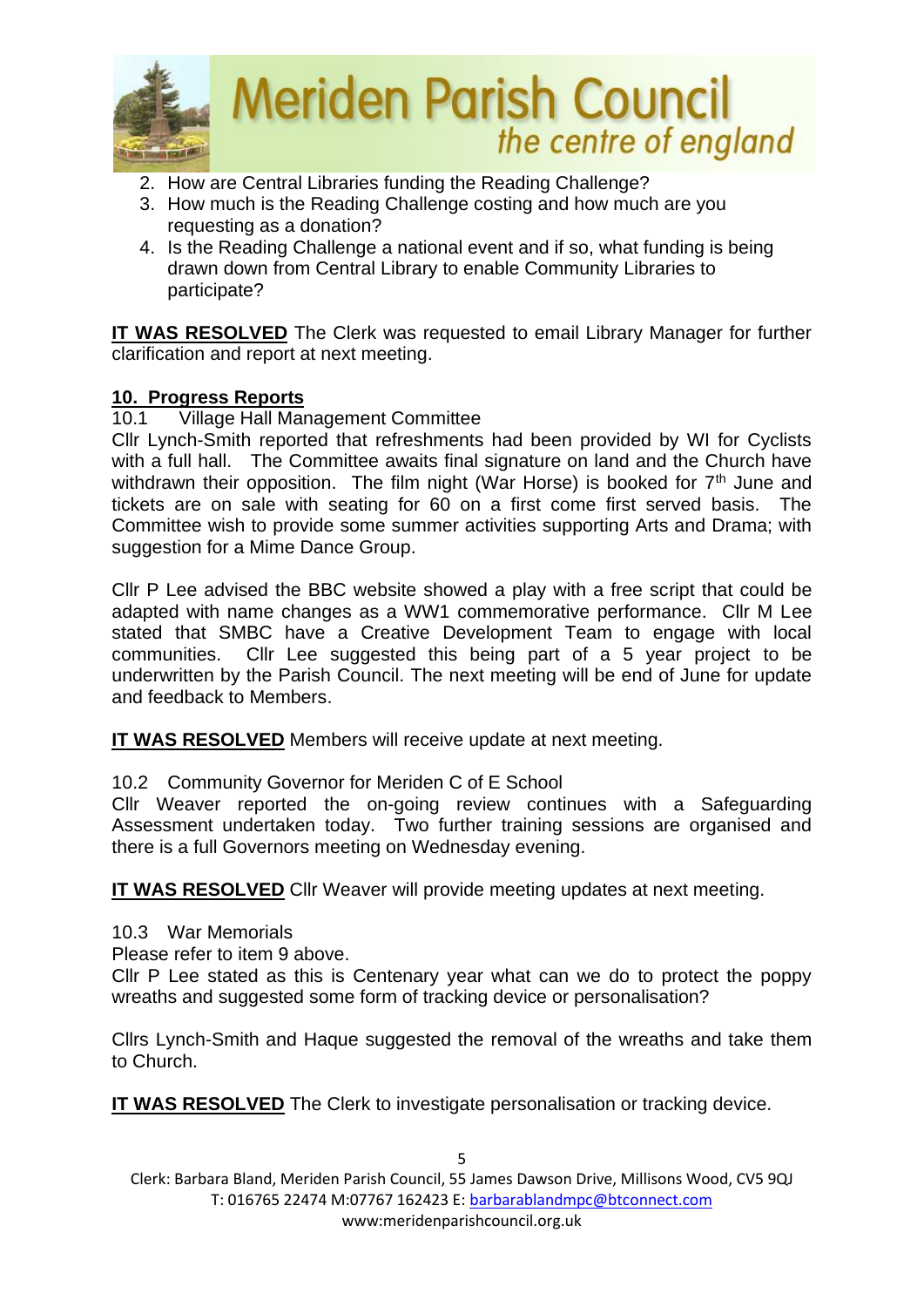

- 2. How are Central Libraries funding the Reading Challenge?
- 3. How much is the Reading Challenge costing and how much are you requesting as a donation?
- 4. Is the Reading Challenge a national event and if so, what funding is being drawn down from Central Library to enable Community Libraries to participate?

**IT WAS RESOLVED** The Clerk was requested to email Library Manager for further clarification and report at next meeting.

# **10. Progress Reports**

10.1 Village Hall Management Committee

Cllr Lynch-Smith reported that refreshments had been provided by WI for Cyclists with a full hall. The Committee awaits final signature on land and the Church have withdrawn their opposition. The film night (War Horse) is booked for  $7<sup>th</sup>$  June and tickets are on sale with seating for 60 on a first come first served basis. The Committee wish to provide some summer activities supporting Arts and Drama; with suggestion for a Mime Dance Group.

Cllr P Lee advised the BBC website showed a play with a free script that could be adapted with name changes as a WW1 commemorative performance. Cllr M Lee stated that SMBC have a Creative Development Team to engage with local communities. Cllr Lee suggested this being part of a 5 year project to be underwritten by the Parish Council. The next meeting will be end of June for update and feedback to Members.

**IT WAS RESOLVED** Members will receive update at next meeting.

10.2 Community Governor for Meriden C of E School

Cllr Weaver reported the on-going review continues with a Safeguarding Assessment undertaken today. Two further training sessions are organised and there is a full Governors meeting on Wednesday evening.

**IT WAS RESOLVED** Cllr Weaver will provide meeting updates at next meeting.

10.3 War Memorials

Please refer to item 9 above.

Cllr P Lee stated as this is Centenary year what can we do to protect the poppy wreaths and suggested some form of tracking device or personalisation?

Cllrs Lynch-Smith and Haque suggested the removal of the wreaths and take them to Church.

**IT WAS RESOLVED** The Clerk to investigate personalisation or tracking device.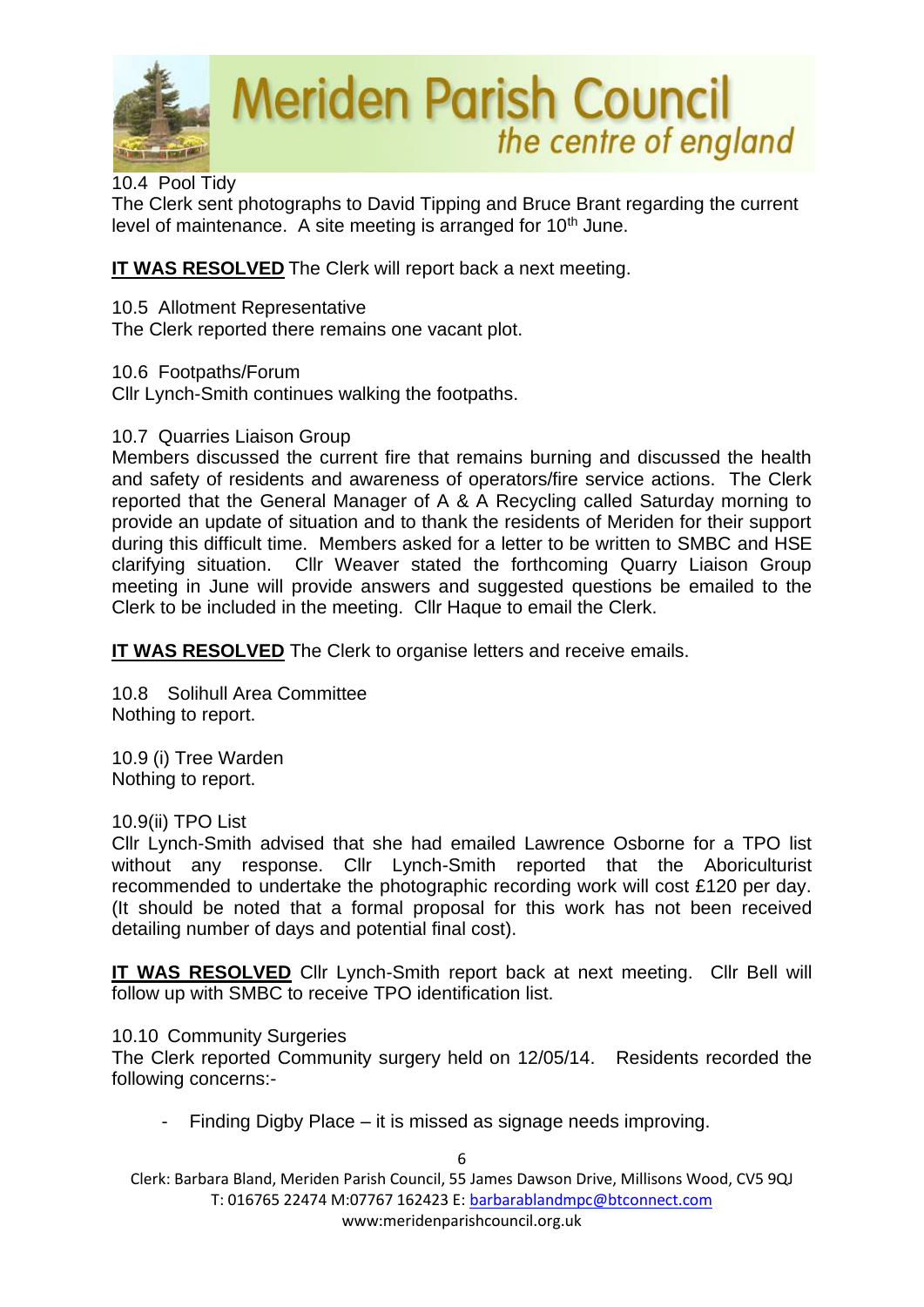

### 10.4 Pool Tidy

The Clerk sent photographs to David Tipping and Bruce Brant regarding the current level of maintenance. A site meeting is arranged for 10<sup>th</sup> June.

# **IT WAS RESOLVED** The Clerk will report back a next meeting.

# 10.5 Allotment Representative

The Clerk reported there remains one vacant plot.

# 10.6 Footpaths/Forum

Cllr Lynch-Smith continues walking the footpaths.

# 10.7 Quarries Liaison Group

Members discussed the current fire that remains burning and discussed the health and safety of residents and awareness of operators/fire service actions. The Clerk reported that the General Manager of A & A Recycling called Saturday morning to provide an update of situation and to thank the residents of Meriden for their support during this difficult time. Members asked for a letter to be written to SMBC and HSE clarifying situation. Cllr Weaver stated the forthcoming Quarry Liaison Group meeting in June will provide answers and suggested questions be emailed to the Clerk to be included in the meeting. Cllr Haque to email the Clerk.

**IT WAS RESOLVED** The Clerk to organise letters and receive emails.

10.8 Solihull Area Committee Nothing to report.

10.9 (i) Tree Warden Nothing to report.

# 10.9(ii) TPO List

Cllr Lynch-Smith advised that she had emailed Lawrence Osborne for a TPO list without any response. Cllr Lynch-Smith reported that the Aboriculturist recommended to undertake the photographic recording work will cost £120 per day. (It should be noted that a formal proposal for this work has not been received detailing number of days and potential final cost).

**IT WAS RESOLVED** Cllr Lynch-Smith report back at next meeting. Cllr Bell will follow up with SMBC to receive TPO identification list.

### 10.10 Community Surgeries

The Clerk reported Community surgery held on 12/05/14. Residents recorded the following concerns:-

Finding Digby Place – it is missed as signage needs improving.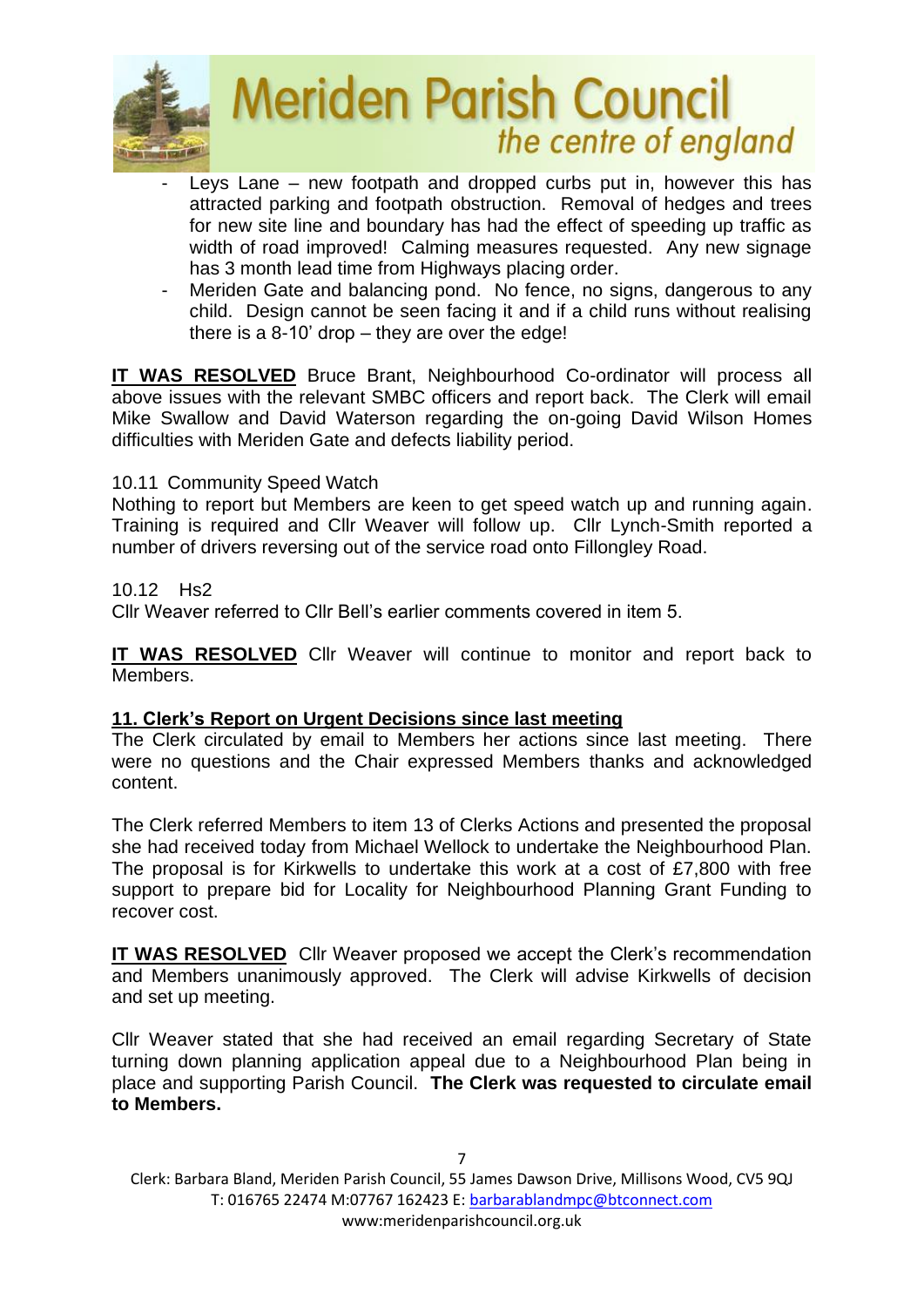

- Leys Lane new footpath and dropped curbs put in, however this has attracted parking and footpath obstruction. Removal of hedges and trees for new site line and boundary has had the effect of speeding up traffic as width of road improved! Calming measures requested. Any new signage has 3 month lead time from Highways placing order.
- Meriden Gate and balancing pond. No fence, no signs, dangerous to any child. Design cannot be seen facing it and if a child runs without realising there is a 8-10' drop – they are over the edge!

**IT WAS RESOLVED** Bruce Brant, Neighbourhood Co-ordinator will process all above issues with the relevant SMBC officers and report back. The Clerk will email Mike Swallow and David Waterson regarding the on-going David Wilson Homes difficulties with Meriden Gate and defects liability period.

# 10.11 Community Speed Watch

Nothing to report but Members are keen to get speed watch up and running again. Training is required and Cllr Weaver will follow up. Cllr Lynch-Smith reported a number of drivers reversing out of the service road onto Fillongley Road.

10.12 Hs2

Cllr Weaver referred to Cllr Bell's earlier comments covered in item 5.

**IT WAS RESOLVED** Cllr Weaver will continue to monitor and report back to Members.

### **11. Clerk's Report on Urgent Decisions since last meeting**

The Clerk circulated by email to Members her actions since last meeting. There were no questions and the Chair expressed Members thanks and acknowledged content.

The Clerk referred Members to item 13 of Clerks Actions and presented the proposal she had received today from Michael Wellock to undertake the Neighbourhood Plan. The proposal is for Kirkwells to undertake this work at a cost of £7,800 with free support to prepare bid for Locality for Neighbourhood Planning Grant Funding to recover cost.

**IT WAS RESOLVED** Cllr Weaver proposed we accept the Clerk's recommendation and Members unanimously approved. The Clerk will advise Kirkwells of decision and set up meeting.

Cllr Weaver stated that she had received an email regarding Secretary of State turning down planning application appeal due to a Neighbourhood Plan being in place and supporting Parish Council. **The Clerk was requested to circulate email to Members.**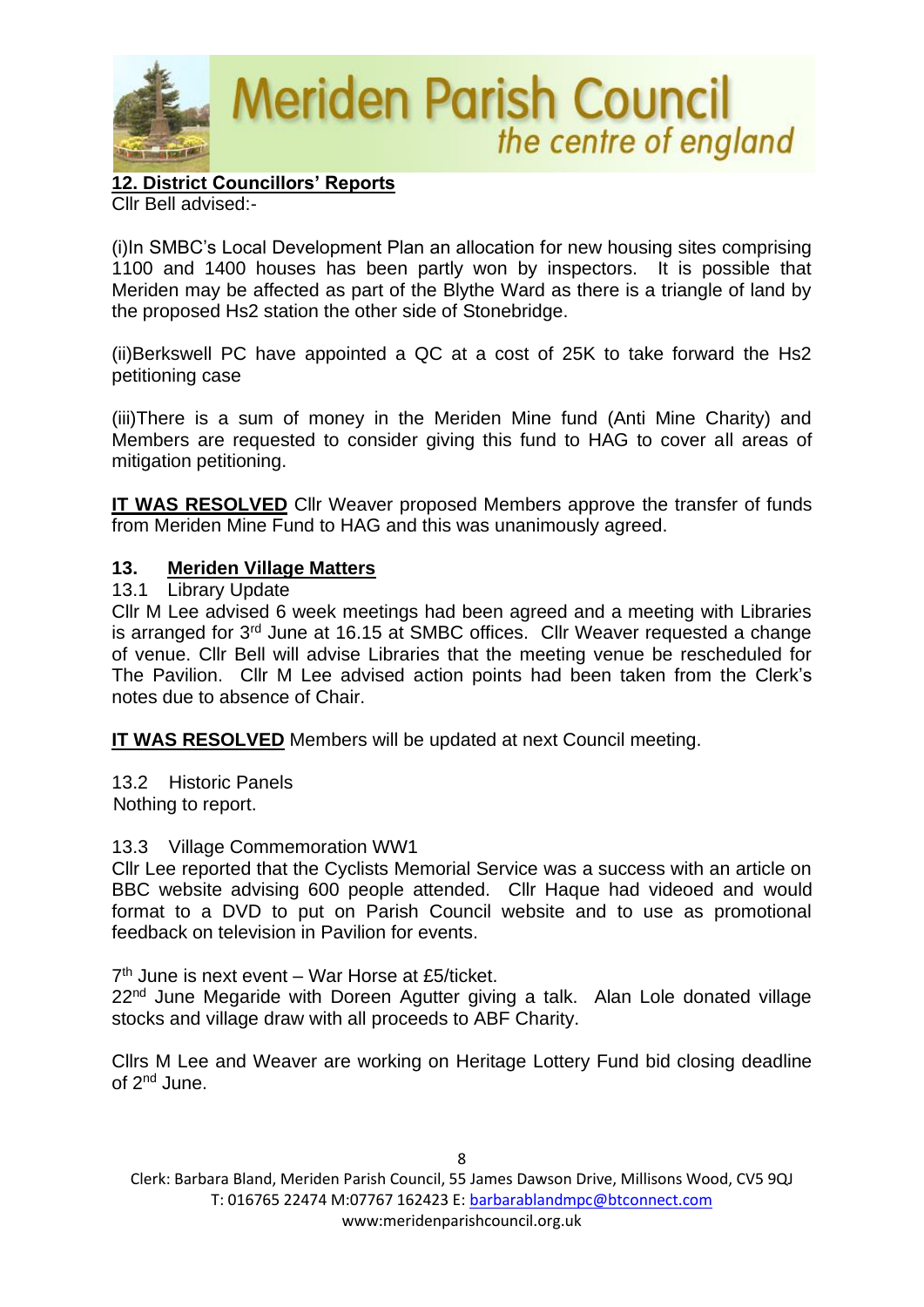

**12. District Councillors' Reports** Cllr Bell advised:-

(i)In SMBC's Local Development Plan an allocation for new housing sites comprising 1100 and 1400 houses has been partly won by inspectors. It is possible that Meriden may be affected as part of the Blythe Ward as there is a triangle of land by the proposed Hs2 station the other side of Stonebridge.

(ii)Berkswell PC have appointed a QC at a cost of 25K to take forward the Hs2 petitioning case

(iii)There is a sum of money in the Meriden Mine fund (Anti Mine Charity) and Members are requested to consider giving this fund to HAG to cover all areas of mitigation petitioning.

**IT WAS RESOLVED** Cllr Weaver proposed Members approve the transfer of funds from Meriden Mine Fund to HAG and this was unanimously agreed.

# **13. Meriden Village Matters**

### 13.1 Library Update

Cllr M Lee advised 6 week meetings had been agreed and a meeting with Libraries is arranged for 3rd June at 16.15 at SMBC offices. Cllr Weaver requested a change of venue. Cllr Bell will advise Libraries that the meeting venue be rescheduled for The Pavilion. Cllr M Lee advised action points had been taken from the Clerk's notes due to absence of Chair.

**IT WAS RESOLVED** Members will be updated at next Council meeting.

13.2 Historic Panels Nothing to report.

### 13.3 Village Commemoration WW1

Cllr Lee reported that the Cyclists Memorial Service was a success with an article on BBC website advising 600 people attended. Cllr Haque had videoed and would format to a DVD to put on Parish Council website and to use as promotional feedback on television in Pavilion for events.

7<sup>th</sup> June is next event - War Horse at £5/ticket.

22<sup>nd</sup> June Megaride with Doreen Agutter giving a talk. Alan Lole donated village stocks and village draw with all proceeds to ABF Charity.

Cllrs M Lee and Weaver are working on Heritage Lottery Fund bid closing deadline of 2nd June.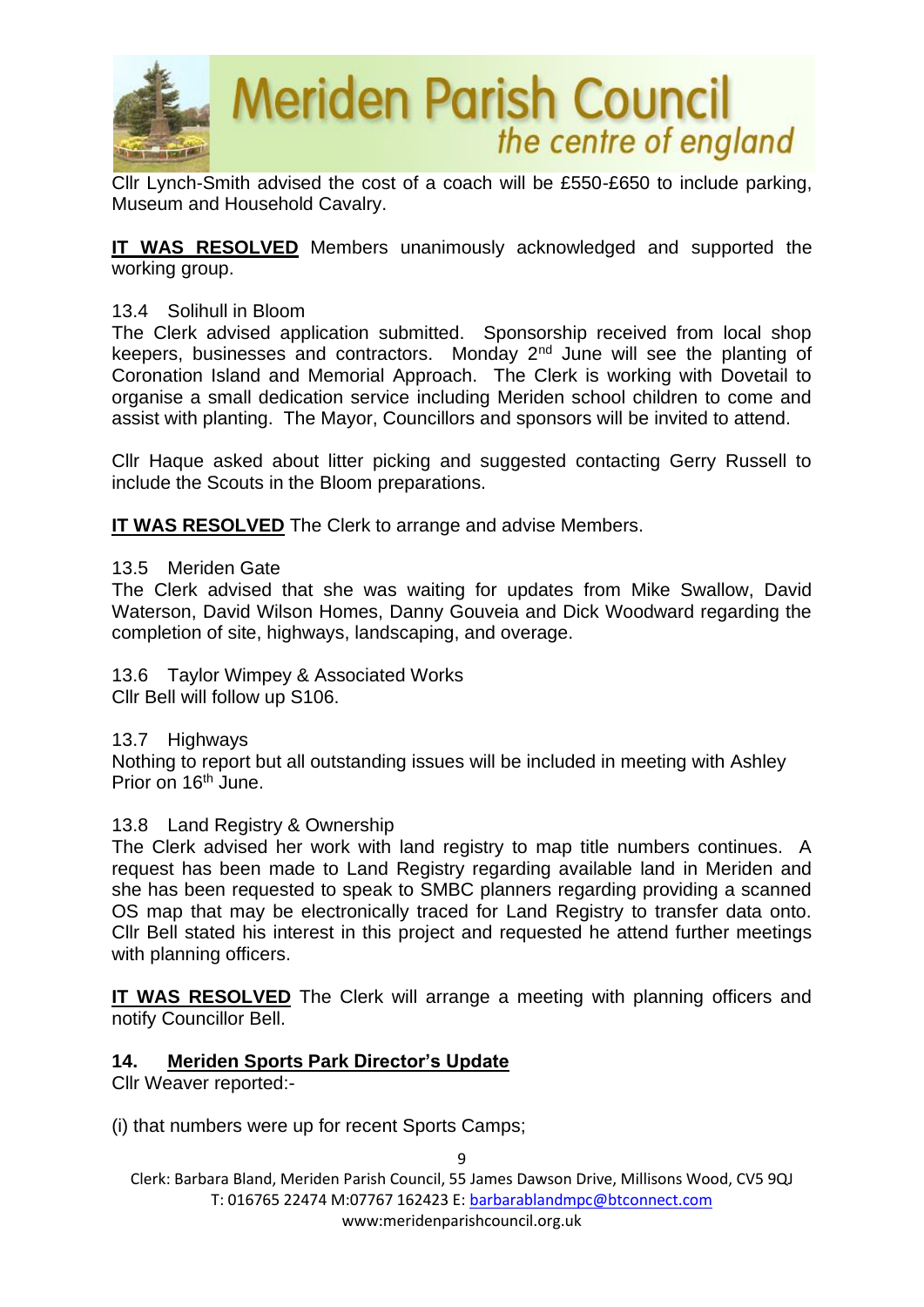

Cllr Lynch-Smith advised the cost of a coach will be £550-£650 to include parking, Museum and Household Cavalry.

**IT WAS RESOLVED** Members unanimously acknowledged and supported the working group.

#### 13.4 Solihull in Bloom

The Clerk advised application submitted. Sponsorship received from local shop keepers, businesses and contractors. Monday  $2<sup>nd</sup>$  June will see the planting of Coronation Island and Memorial Approach. The Clerk is working with Dovetail to organise a small dedication service including Meriden school children to come and assist with planting. The Mayor, Councillors and sponsors will be invited to attend.

Cllr Haque asked about litter picking and suggested contacting Gerry Russell to include the Scouts in the Bloom preparations.

**IT WAS RESOLVED** The Clerk to arrange and advise Members.

#### 13.5 Meriden Gate

The Clerk advised that she was waiting for updates from Mike Swallow, David Waterson, David Wilson Homes, Danny Gouveia and Dick Woodward regarding the completion of site, highways, landscaping, and overage.

13.6 Taylor Wimpey & Associated Works Cllr Bell will follow up S106.

13.7 Highways

Nothing to report but all outstanding issues will be included in meeting with Ashley Prior on 16<sup>th</sup> June.

#### 13.8 Land Registry & Ownership

The Clerk advised her work with land registry to map title numbers continues. A request has been made to Land Registry regarding available land in Meriden and she has been requested to speak to SMBC planners regarding providing a scanned OS map that may be electronically traced for Land Registry to transfer data onto. Cllr Bell stated his interest in this project and requested he attend further meetings with planning officers.

**IT WAS RESOLVED** The Clerk will arrange a meeting with planning officers and notify Councillor Bell.

### **14. Meriden Sports Park Director's Update**

Cllr Weaver reported:-

(i) that numbers were up for recent Sports Camps;

9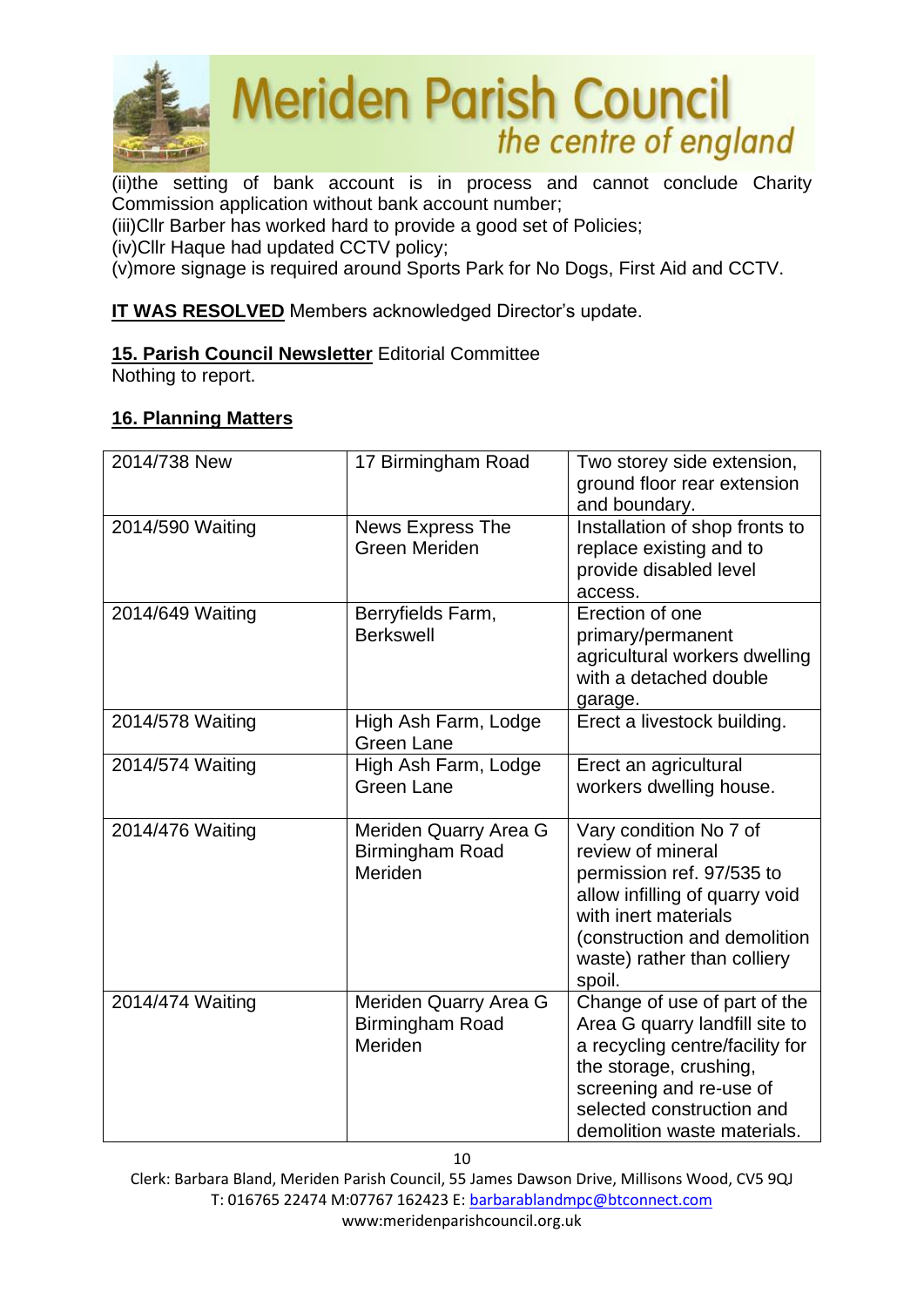

(ii)the setting of bank account is in process and cannot conclude Charity Commission application without bank account number;

(iii)Cllr Barber has worked hard to provide a good set of Policies;

(iv)Cllr Haque had updated CCTV policy;

(v)more signage is required around Sports Park for No Dogs, First Aid and CCTV.

# **IT WAS RESOLVED** Members acknowledged Director's update.

# **15. Parish Council Newsletter** Editorial Committee

Nothing to report.

# **16. Planning Matters**

| 2014/738 New     | 17 Birmingham Road                                  | Two storey side extension,<br>ground floor rear extension<br>and boundary.                                                                                                                                         |
|------------------|-----------------------------------------------------|--------------------------------------------------------------------------------------------------------------------------------------------------------------------------------------------------------------------|
| 2014/590 Waiting | <b>News Express The</b><br><b>Green Meriden</b>     | Installation of shop fronts to<br>replace existing and to<br>provide disabled level<br>access.                                                                                                                     |
| 2014/649 Waiting | Berryfields Farm,<br><b>Berkswell</b>               | Erection of one<br>primary/permanent<br>agricultural workers dwelling<br>with a detached double<br>garage.                                                                                                         |
| 2014/578 Waiting | High Ash Farm, Lodge<br><b>Green Lane</b>           | Erect a livestock building.                                                                                                                                                                                        |
| 2014/574 Waiting | High Ash Farm, Lodge<br><b>Green Lane</b>           | Erect an agricultural<br>workers dwelling house.                                                                                                                                                                   |
| 2014/476 Waiting | Meriden Quarry Area G<br>Birmingham Road<br>Meriden | Vary condition No 7 of<br>review of mineral<br>permission ref. 97/535 to<br>allow infilling of quarry void<br>with inert materials<br>(construction and demolition<br>waste) rather than colliery<br>spoil.        |
| 2014/474 Waiting | Meriden Quarry Area G<br>Birmingham Road<br>Meriden | Change of use of part of the<br>Area G quarry landfill site to<br>a recycling centre/facility for<br>the storage, crushing,<br>screening and re-use of<br>selected construction and<br>demolition waste materials. |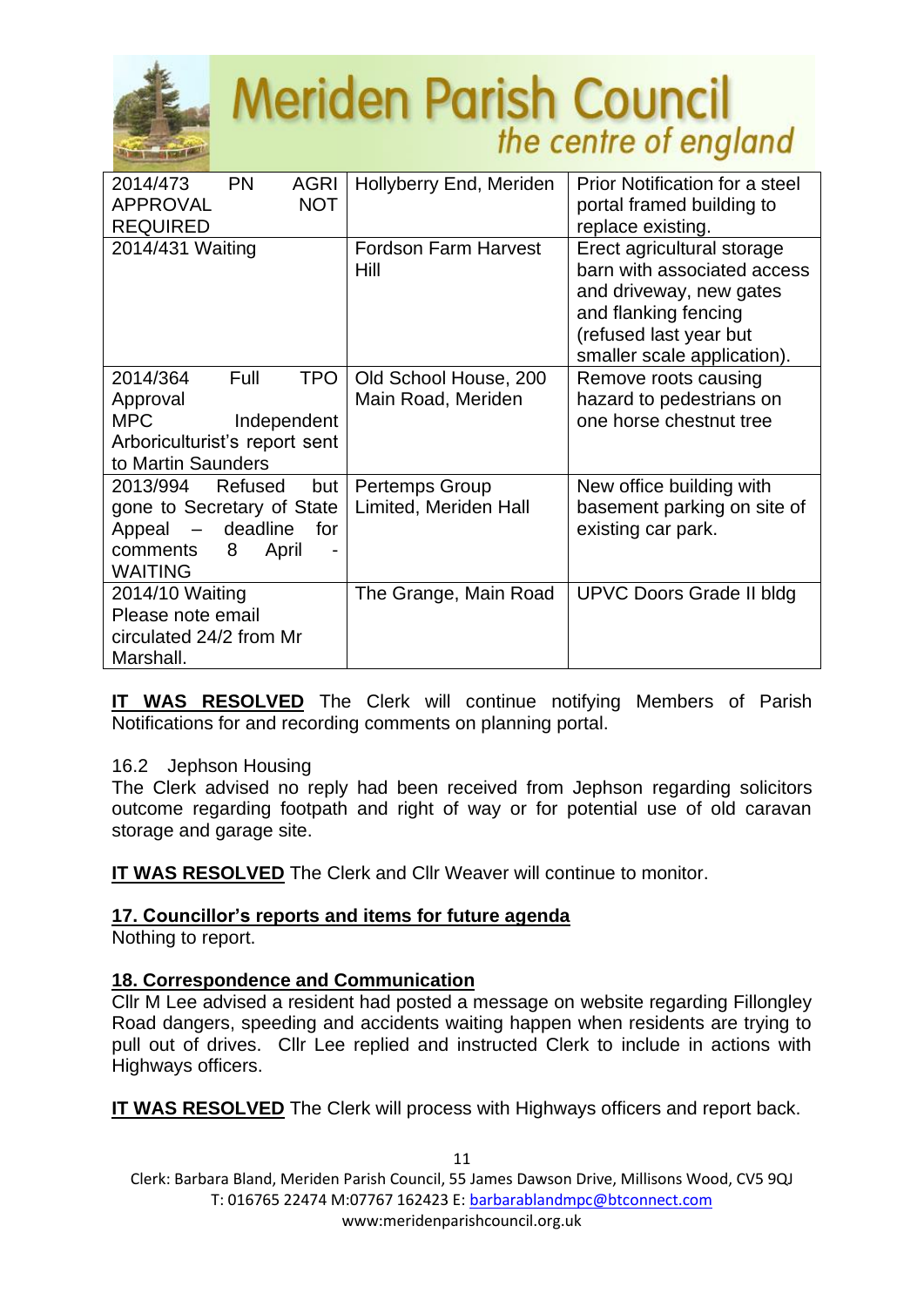

| 2014/473<br><b>APPROVAL</b><br><b>REQUIRED</b>                                                             | <b>PN</b><br><b>AGRI</b><br><b>NOT</b>          | Hollyberry End, Meriden                        | Prior Notification for a steel<br>portal framed building to<br>replace existing.                                                                                      |
|------------------------------------------------------------------------------------------------------------|-------------------------------------------------|------------------------------------------------|-----------------------------------------------------------------------------------------------------------------------------------------------------------------------|
| 2014/431 Waiting                                                                                           |                                                 | <b>Fordson Farm Harvest</b><br>Hill            | Erect agricultural storage<br>barn with associated access<br>and driveway, new gates<br>and flanking fencing<br>(refused last year but<br>smaller scale application). |
| 2014/364<br>Approval<br><b>MPC</b><br>Arboriculturist's report sent<br>to Martin Saunders                  | <b>TPO</b><br>Full<br>Independent               | Old School House, 200<br>Main Road, Meriden    | Remove roots causing<br>hazard to pedestrians on<br>one horse chestnut tree                                                                                           |
| 2013/994<br>gone to Secretary of State<br>Appeal<br>$\overline{\phantom{a}}$<br>comments<br><b>WAITING</b> | Refused<br>but<br>deadline<br>for<br>8<br>April | <b>Pertemps Group</b><br>Limited, Meriden Hall | New office building with<br>basement parking on site of<br>existing car park.                                                                                         |
| 2014/10 Waiting<br>Please note email<br>circulated 24/2 from Mr<br>Marshall.                               |                                                 | The Grange, Main Road                          | <b>UPVC Doors Grade II bldg</b>                                                                                                                                       |

**IT WAS RESOLVED** The Clerk will continue notifying Members of Parish Notifications for and recording comments on planning portal.

### 16.2 Jephson Housing

The Clerk advised no reply had been received from Jephson regarding solicitors outcome regarding footpath and right of way or for potential use of old caravan storage and garage site.

**IT WAS RESOLVED** The Clerk and Cllr Weaver will continue to monitor.

# **17. Councillor's reports and items for future agenda**

Nothing to report.

# **18. Correspondence and Communication**

Cllr M Lee advised a resident had posted a message on website regarding Fillongley Road dangers, speeding and accidents waiting happen when residents are trying to pull out of drives. Cllr Lee replied and instructed Clerk to include in actions with Highways officers.

**IT WAS RESOLVED** The Clerk will process with Highways officers and report back.

Clerk: Barbara Bland, Meriden Parish Council, 55 James Dawson Drive, Millisons Wood, CV5 9QJ T: 016765 22474 M:07767 162423 E[: barbarablandmpc@btconnect.com](mailto:barbarablandmpc@btconnect.com) www:meridenparishcouncil.org.uk

11